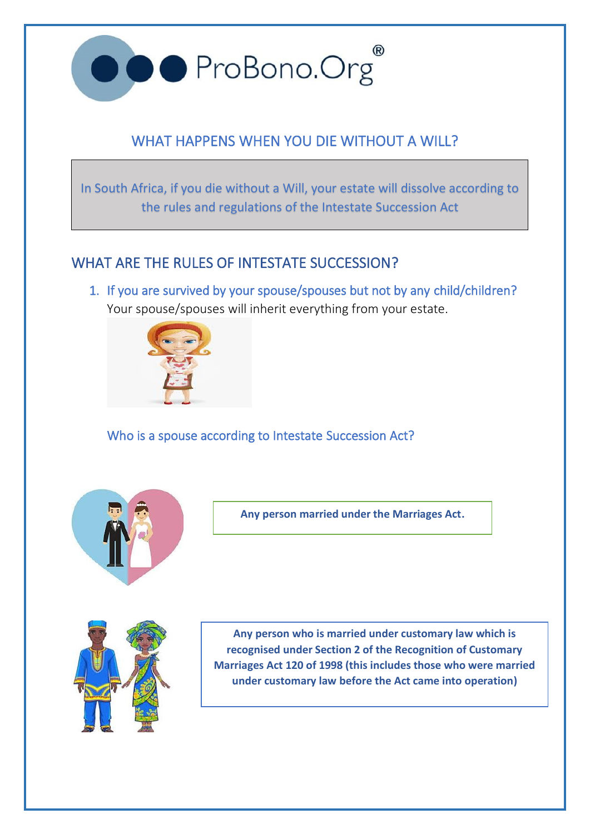

# WHAT HAPPENS WHEN YOU DIE WITHOUT A WILL?

In South Africa, if you die without a Will, your estate will dissolve according to the rules and regulations of the Intestate Succession Act

# WHAT ARE THE RULES OF INTESTATE SUCCESSION?

1. If you are survived by your spouse/spouses but not by any child/children? Your spouse/spouses will inherit everything from your estate.



Who is a spouse according to Intestate Succession Act?



**Any person married under the Marriages Act.**



**Any person who is married under customary law which is recognised under Section 2 of the Recognition of Customary Marriages Act 120 of 1998 (this includes those who were married under customary law before the Act came into operation)**

**a**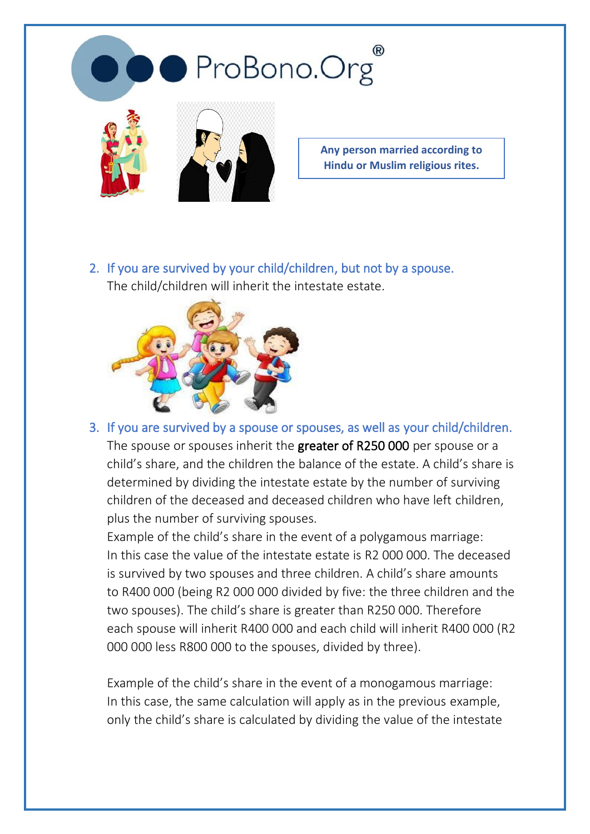

**Any person married according to Hindu or Muslim religious rites.**

2. If you are survived by your child/children, but not by a spouse. The child/children will inherit the intestate estate.



3. If you are survived by a spouse or spouses, as well as your child/children. The spouse or spouses inherit the greater of R250 000 per spouse or a child's share, and the children the balance of the estate. A child's share is determined by dividing the intestate estate by the number of surviving children of the deceased and deceased children who have left children, plus the number of surviving spouses.

Example of the child's share in the event of a polygamous marriage: In this case the value of the intestate estate is R2 000 000. The deceased is survived by two spouses and three children. A child's share amounts to R400 000 (being R2 000 000 divided by five: the three children and the two spouses). The child's share is greater than R250 000. Therefore each spouse will inherit R400 000 and each child will inherit R400 000 (R2 000 000 less R800 000 to the spouses, divided by three).

Example of the child's share in the event of a monogamous marriage: In this case, the same calculation will apply as in the previous example, only the child's share is calculated by dividing the value of the intestate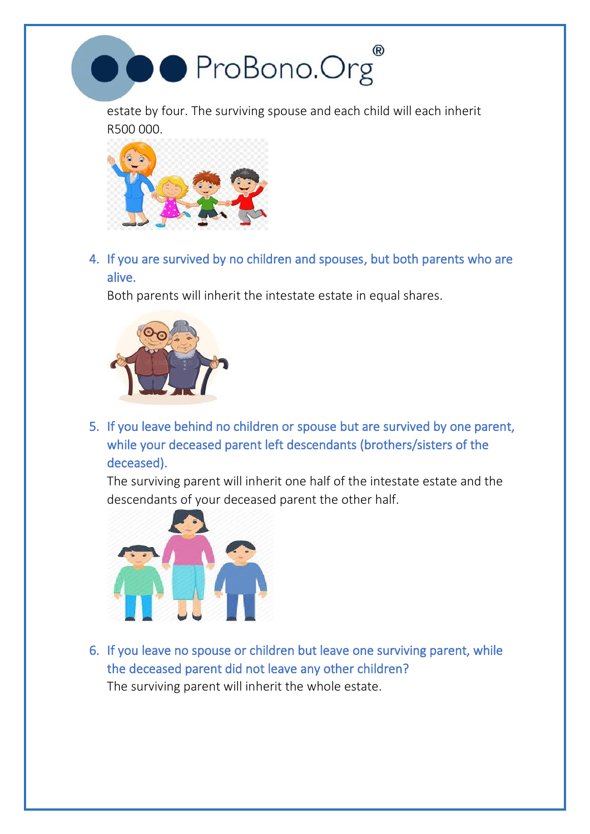

estate by four. The surviving spouse and each child will each inherit R500 000.



4. If you are survived by no children and spouses, but both parents who are alive.

Both parents will inherit the intestate estate in equal shares.



5. If you leave behind no children or spouse but are survived by one parent, while your deceased parent left descendants (brothers/sisters of the deceased).

The surviving parent will inherit one half of the intestate estate and the descendants of your deceased parent the other half.



6. If you leave no spouse or children but leave one surviving parent, while the deceased parent did not leave any other children? The surviving parent will inherit the whole estate.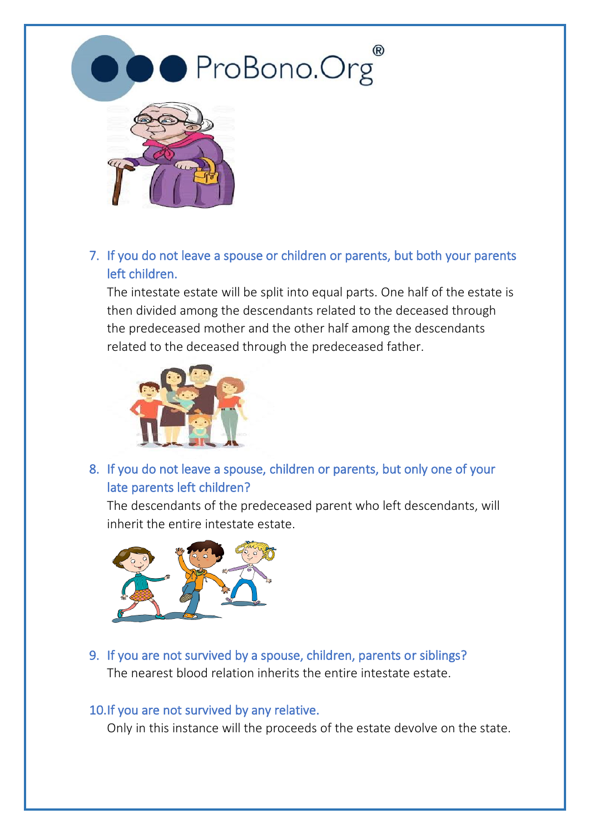



7. If you do not leave a spouse or children or parents, but both your parents left children.

The intestate estate will be split into equal parts. One half of the estate is then divided among the descendants related to the deceased through the predeceased mother and the other half among the descendants related to the deceased through the predeceased father.



8. If you do not leave a spouse, children or parents, but only one of your late parents left children?

The descendants of the predeceased parent who left descendants, will inherit the entire intestate estate.



9. If you are not survived by a spouse, children, parents or siblings? The nearest blood relation inherits the entire intestate estate.

#### 10.If you are not survived by any relative.

Only in this instance will the proceeds of the estate devolve on the state.